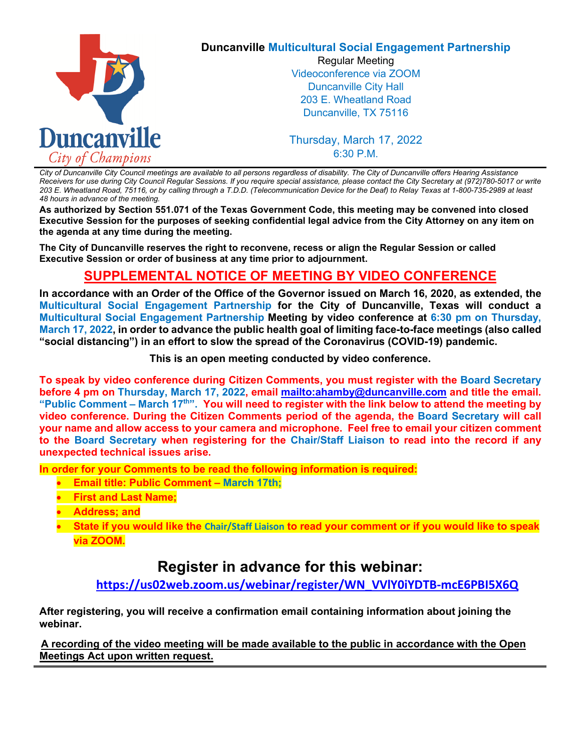

## **Duncanville Multicultural Social Engagement Partnership**

Regular Meeting Videoconference via ZOOM Duncanville City Hall 203 E. Wheatland Road Duncanville, TX 75116

Thursday, March 17, 2022  $6:30$  P.M.

*City of Duncanville City Council meetings are available to all persons regardless of disability. The City of Duncanville offers Hearing Assistance Receivers for use during City Council Regular Sessions. If you require special assistance, please contact the City Secretary at (972)780-5017 or write 203 E. Wheatland Road, 75116, or by calling through a T.D.D. (Telecommunication Device for the Deaf) to Relay Texas at 1-800-735-2989 at least 48 hours in advance of the meeting.* 

**As authorized by Section 551.071 of the Texas Government Code, this meeting may be convened into closed Executive Session for the purposes of seeking confidential legal advice from the City Attorney on any item on the agenda at any time during the meeting.**

**The City of Duncanville reserves the right to reconvene, recess or align the Regular Session or called Executive Session or order of business at any time prior to adjournment.**

## **SUPPLEMENTAL NOTICE OF MEETING BY VIDEO CONFERENCE**

**In accordance with an Order of the Office of the Governor issued on March 16, 2020, as extended, the Multicultural Social Engagement Partnership for the City of Duncanville, Texas will conduct a Multicultural Social Engagement Partnership Meeting by video conference at 6:30 pm on Thursday, March 17, 2022, in order to advance the public health goal of limiting face-to-face meetings (also called "social distancing") in an effort to slow the spread of the Coronavirus (COVID-19) pandemic.** 

**This is an open meeting conducted by video conference.**

**To speak by video conference during Citizen Comments, you must register with the Board Secretary before 4 pm on Thursday, March 17, 2022, email<mailto:ahamby@duncanville.com> and title the email.**  "Public Comment – March 17<sup>th"</sup>. You will need to register with the link below to attend the meeting by **video conference. During the Citizen Comments period of the agenda, the Board Secretary will call your name and allow access to your camera and microphone. Feel free to email your citizen comment to the Board Secretary when registering for the Chair/Staff Liaison to read into the record if any unexpected technical issues arise.**

**In order for your Comments to be read the following information is required:**

- **Email title: Public Comment – March 17th;**
- **First and Last Name;**
- **Address; and**
- **State if you would like the Chair/Staff Liaison to read your comment or if you would like to speak via ZOOM.**

## **Register in advance for this webinar:**

**[https://us02web.zoom.us/webinar/register/WN\\_VVlY0iYDTB-mcE6PBI5X6Q](https://us02web.zoom.us/webinar/register/WN_VVlY0iYDTB-mcE6PBI5X6Q)**

**After registering, you will receive a confirmation email containing information about joining the webinar.**

**A recording of the video meeting will be made available to the public in accordance with the Open Meetings Act upon written request.**